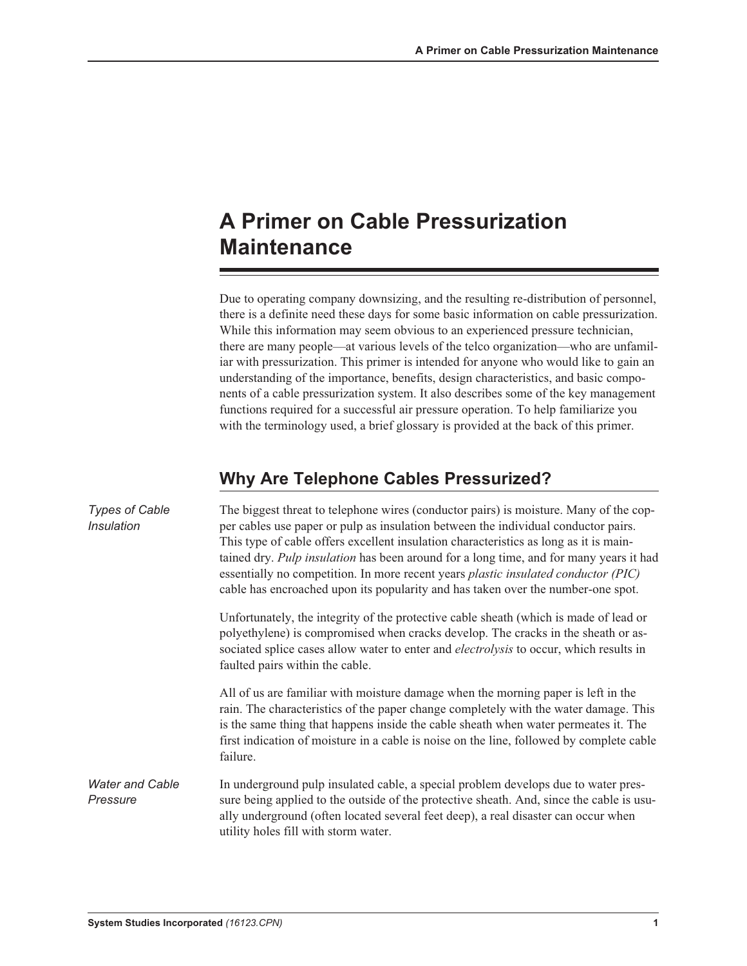# **A Primer on Cable Pressurization Maintenance**

Due to operating company downsizing, and the resulting re-distribution of personnel, there is a definite need these days for some basic information on cable pressurization. While this information may seem obvious to an experienced pressure technician, there are many people—at various levels of the telco organization—who are unfamiliar with pressurization. This primer is intended for anyone who would like to gain an understanding of the importance, benefits, design characteristics, and basic components of a cable pressurization system. It also describes some of the key management functions required for a successful air pressure operation. To help familiarize you with the terminology used, a brief glossary is provided at the back of this primer.

### **Why Are Telephone Cables Pressurized?**

| <b>Types of Cable</b><br><b>Insulation</b> | The biggest threat to telephone wires (conductor pairs) is moisture. Many of the cop-<br>per cables use paper or pulp as insulation between the individual conductor pairs.<br>This type of cable offers excellent insulation characteristics as long as it is main-<br>tained dry. Pulp insulation has been around for a long time, and for many years it had<br>essentially no competition. In more recent years plastic insulated conductor (PIC)<br>cable has encroached upon its popularity and has taken over the number-one spot. |
|--------------------------------------------|------------------------------------------------------------------------------------------------------------------------------------------------------------------------------------------------------------------------------------------------------------------------------------------------------------------------------------------------------------------------------------------------------------------------------------------------------------------------------------------------------------------------------------------|
|                                            | Unfortunately, the integrity of the protective cable sheath (which is made of lead or<br>polyethylene) is compromised when cracks develop. The cracks in the sheath or as-<br>sociated splice cases allow water to enter and <i>electrolysis</i> to occur, which results in<br>faulted pairs within the cable.                                                                                                                                                                                                                           |
|                                            | All of us are familiar with moisture damage when the morning paper is left in the<br>rain. The characteristics of the paper change completely with the water damage. This<br>is the same thing that happens inside the cable sheath when water permeates it. The<br>first indication of moisture in a cable is noise on the line, followed by complete cable<br>failure.                                                                                                                                                                 |
| <b>Water and Cable</b><br>Pressure         | In underground pulp insulated cable, a special problem develops due to water pres-<br>sure being applied to the outside of the protective sheath. And, since the cable is usu-<br>ally underground (often located several feet deep), a real disaster can occur when<br>utility holes fill with storm water.                                                                                                                                                                                                                             |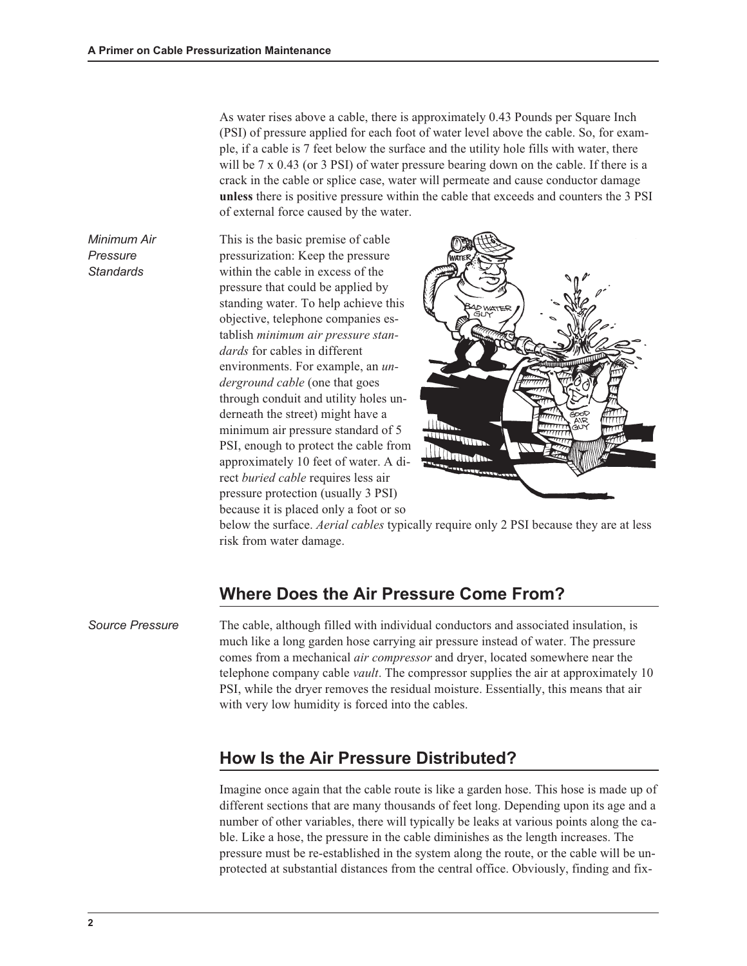As water rises above a cable, there is approximately 0.43 Pounds per Square Inch (PSI) of pressure applied for each foot of water level above the cable. So, for example, if a cable is 7 feet below the surface and the utility hole fills with water, there will be 7 x 0.43 (or 3 PSI) of water pressure bearing down on the cable. If there is a crack in the cable or splice case, water will permeate and cause conductor damage unless there is positive pressure within the cable that exceeds and counters the 3 PSI of external force caused by the water.

Minimum Air Pressure **Standards** 

This is the basic premise of cable pressurization: Keep the pressure within the cable in excess of the pressure that could be applied by standing water. To help achieve this objective, telephone companies establish minimum air pressure standards for cables in different environments. For example, an underground cable (one that goes through conduit and utility holes underneath the street) might have a minimum air pressure standard of 5 PSI, enough to protect the cable from approximately 10 feet of water. A direct buried cable requires less air pressure protection (usually 3 PSI) because it is placed only a foot or so



below the surface. Aerial cables typically require only 2 PSI because they are at less risk from water damage.

#### Where Does the Air Pressure Come From?

Source Pressure The cable, although filled with individual conductors and associated insulation, is much like a long garden hose carrying air pressure instead of water. The pressure comes from a mechanical air compressor and dryer, located somewhere near the telephone company cable vault. The compressor supplies the air at approximately 10 PSI, while the dryer removes the residual moisture. Essentially, this means that air with very low humidity is forced into the cables.

#### HowIs the Air Pressure Distributed?

Imagine once again that the cable route is like a garden hose. This hose is made up of different sections that are many thousands of feet long. Depending upon its age and a number of other variables, there will typically be leaks at various points along the cable. Like a hose, the pressure in the cable diminishes as the length increases. The pressure must be re-established in the system along the route, or the cable will be unprotected at substantial distances from the central office. Obviously, finding and fix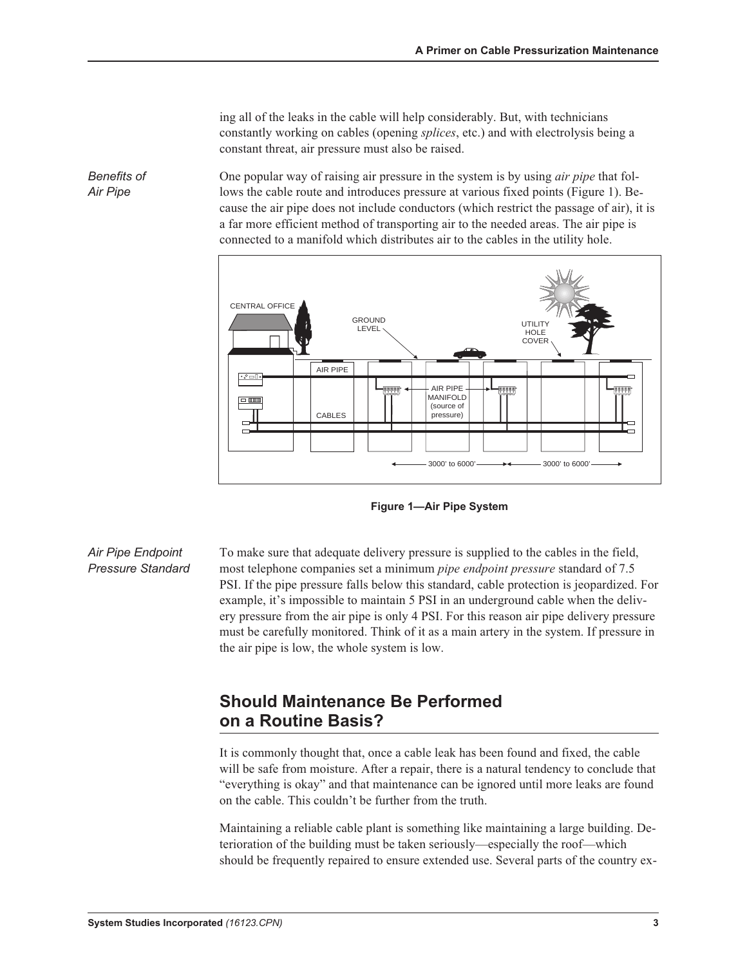ing all of the leaks in the cable will help considerably. But, with technicians constantly working on cables (opening splices, etc.) and with electrolysis being a constant threat, air pressure must also be raised.

One popular way of raising air pressure in the system is by using air pipe that follows the cable route and introduces pressure at various fixed points (Figure 1). Because the air pipe does not include conductors (which restrict the passage of air), it is a far more efficient method of transporting air to the needed areas. The air pipe is connected to a manifold which distributes air to the cables in the utility hole.



Figure 1—Air Pipe System

Air Pipe Endpoint Pressure Standard To make sure that adequate delivery pressure is supplied to the cables in the field, most telephone companies set a minimum pipe endpoint pressure standard of 7.5 PSI. If the pipe pressure falls below this standard, cable protection is jeopardized. For example, it's impossible to maintain 5 PSI in an underground cable when the delivery pressure from the air pipe is only 4 PSI. For this reason air pipe delivery pressure must be carefully monitored. Think of it as a main artery in the system. If pressure in the air pipe is low, the whole system is low.

### Should Maintenance Be Performed on a Routine Basis?

It is commonly thought that, once a cable leak has been found and fixed, the cable will be safe from moisture. After a repair, there is a natural tendency to conclude that "everything is okay" and that maintenance can be ignored until more leaks are found on the cable. This couldn't be further from the truth.

Maintaining a reliable cable plant is something like maintaining a large building. Deterioration of the building must be taken seriously—especially the roof—which should be frequently repaired to ensure extended use. Several parts of the country ex-

Benefits of Air Pipe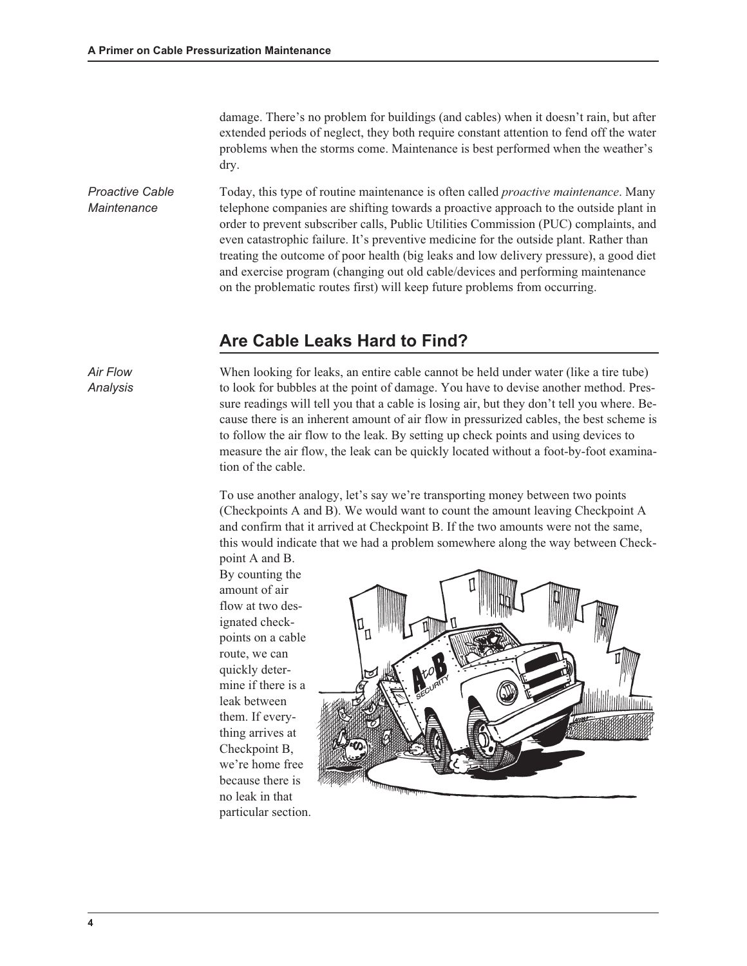damage. There's no problem for buildings (and cables) when it doesn't rain, but after extended periods of neglect, they both require constant attention to fend off the water problems when the storms come. Maintenance is best performed when the weather's dry.

*Proactive Cable Maintenance* Today, this type of routine maintenance is often called *proactive maintenance*. Many telephone companies are shifting towards a proactive approach to the outside plant in order to prevent subscriber calls, Public Utilities Commission (PUC) complaints, and even catastrophic failure. It's preventive medicine for the outside plant. Rather than treating the outcome of poor health (big leaks and low delivery pressure), a good diet and exercise program (changing out old cable/devices and performing maintenance on the problematic routes first) will keep future problems from occurring.

#### **Are Cable Leaks Hard to Find?**

*Air Flow Analysis*

When looking for leaks, an entire cable cannot be held under water (like a tire tube) to look for bubbles at the point of damage. You have to devise another method. Pressure readings will tell you that a cable is losing air, but they don't tell you where. Because there is an inherent amount of air flow in pressurized cables, the best scheme is to follow the air flow to the leak. By setting up check points and using devices to measure the air flow, the leak can be quickly located without a foot-by-foot examination of the cable.

To use another analogy, let's say we're transporting money between two points (Checkpoints A and B). We would want to count the amount leaving Checkpoint A and confirm that it arrived at Checkpoint B. If the two amounts were not the same, this would indicate that we had a problem somewhere along the way between Checkpoint A and B.

By counting the amount of air flow at two designated checkpoints on a cable route, we can quickly determine if there is a leak between them. If everything arrives at Checkpoint B, we're home free because there is no leak in that particular section.



**4**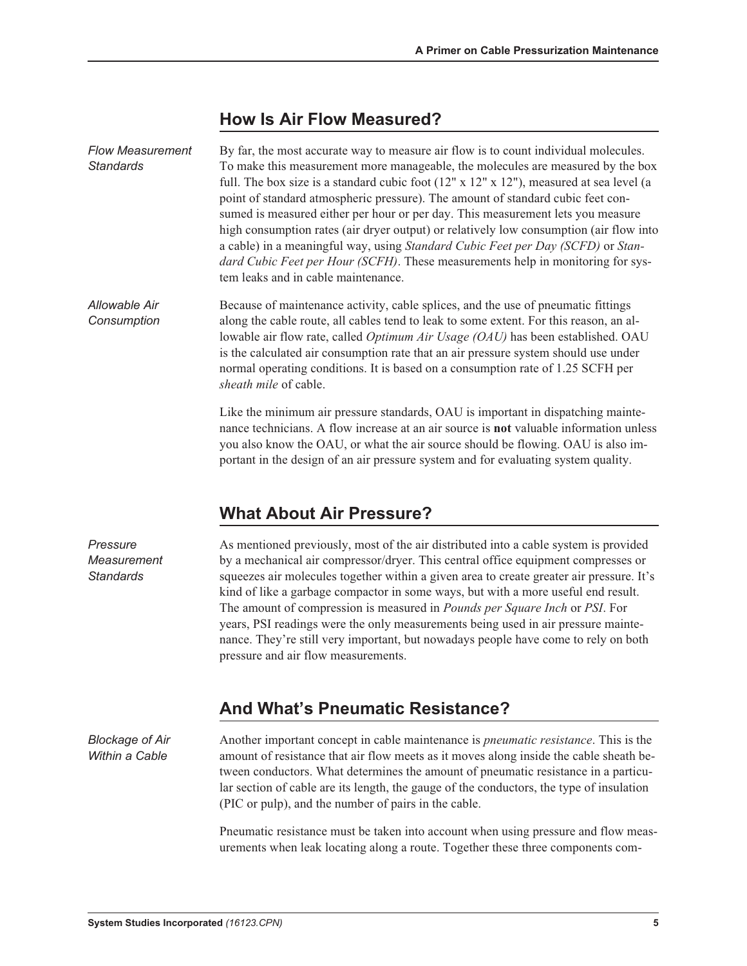### HowIs Air FlowMeasured?

| <b>Flow Measurement</b><br><b>Standards</b> | By far, the most accurate way to measure air flow is to count individual molecules.<br>To make this measurement more manageable, the molecules are measured by the box<br>full. The box size is a standard cubic foot $(12'' \times 12'' \times 12'')$ , measured at sea level (a<br>point of standard atmospheric pressure). The amount of standard cubic feet con-<br>sumed is measured either per hour or per day. This measurement lets you measure<br>high consumption rates (air dryer output) or relatively low consumption (air flow into<br>a cable) in a meaningful way, using Standard Cubic Feet per Day (SCFD) or Stan-<br>dard Cubic Feet per Hour (SCFH). These measurements help in monitoring for sys-<br>tem leaks and in cable maintenance. |
|---------------------------------------------|----------------------------------------------------------------------------------------------------------------------------------------------------------------------------------------------------------------------------------------------------------------------------------------------------------------------------------------------------------------------------------------------------------------------------------------------------------------------------------------------------------------------------------------------------------------------------------------------------------------------------------------------------------------------------------------------------------------------------------------------------------------|
| Allowable Air<br>Consumption                | Because of maintenance activity, cable splices, and the use of pneumatic fittings<br>along the cable route, all cables tend to leak to some extent. For this reason, an al-<br>lowable air flow rate, called <i>Optimum Air Usage (OAU)</i> has been established. OAU<br>is the calculated air consumption rate that an air pressure system should use under<br>normal operating conditions. It is based on a consumption rate of 1.25 SCFH per<br>sheath mile of cable.                                                                                                                                                                                                                                                                                       |
|                                             | Like the minimum air pressure standards, OAU is important in dispatching mainte-<br>nance technicians. A flow increase at an air source is <b>not</b> valuable information unless<br>you also know the OAU, or what the air source should be flowing. OAU is also im-<br>portant in the design of an air pressure system and for evaluating system quality.                                                                                                                                                                                                                                                                                                                                                                                                    |

### What About Air Pressure?

As mentioned previously, most of the air distributed into a cable system is provided by a mechanical air compressor/dryer. This central office equipment compresses or squeezes air molecules together within a given area to create greater air pressure. It's kind of like a garbage compactor in some ways, but with a more useful end result. The amount of compression is measured in Pounds per Square Inch or PSI. For years, PSI readings were the only measurements being used in air pressure maintenance. They're still very important, but nowadays people have come to rely on both pressure and air flow measurements.

### And What's Pneumatic Resistance?

Blockage of Air Within a Cable

Pressure **Measurement Standards** 

> Another important concept in cable maintenance is pneumatic resistance. This is the amount of resistance that air flow meets as it moves along inside the cable sheath between conductors. What determines the amount of pneumatic resistance in a particular section of cable are its length, the gauge of the conductors, the type of insulation (PIC or pulp), and the number of pairs in the cable.

> Pneumatic resistance must be taken into account when using pressure and flow measurements when leak locating along a route. Together these three components com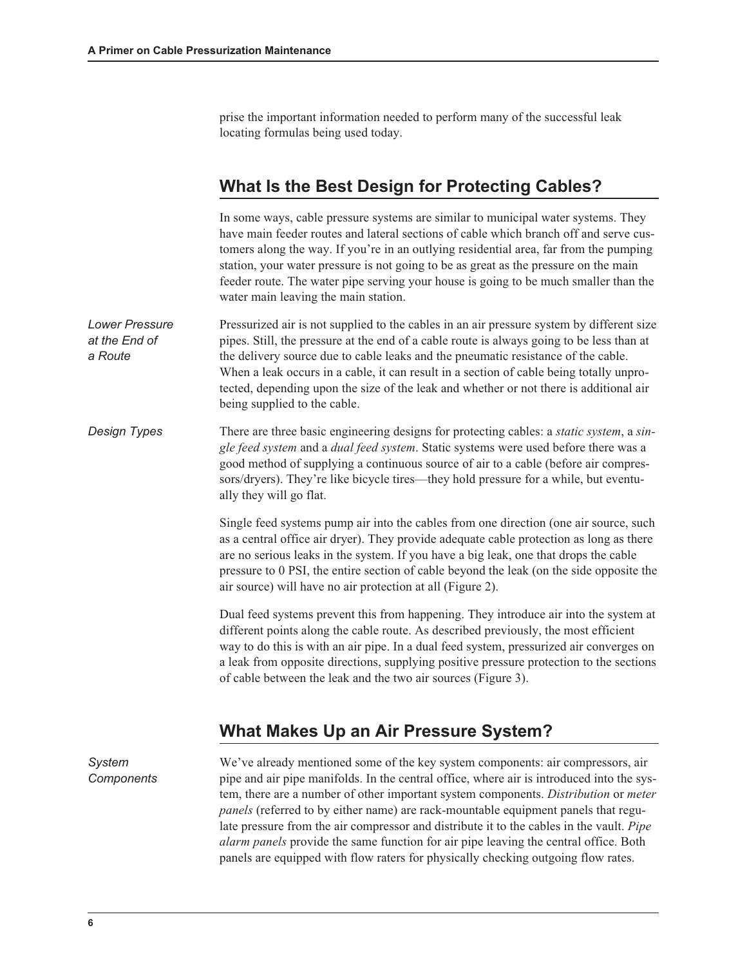prise the important information needed to perform many of the successful leak locating formulas being used today.

### What Is the Best Design for Protecting Cables?

In some ways, cable pressure systems are similar to municipal water systems. They have main feeder routes and lateral sections of cable which branch off and serve customers along the way. If you're in an outlying residential area, far from the pumping station, your water pressure is not going to be as great as the pressure on the main feeder route. The water pipe serving your house is going to be much smaller than the water main leaving the main station.

- Lower Pressure at the End of a Route Pressurized air is not supplied to the cables in an air pressure system by different size pipes. Still, the pressure at the end of a cable route is always going to be less than at the delivery source due to cable leaks and the pneumatic resistance of the cable. When a leak occurs in a cable, it can result in a section of cable being totally unprotected, depending upon the size of the leak and whether or not there is additional air being supplied to the cable.
- Design Types There are three basic engineering designs for protecting cables: a *static system*, a *sin*gle feed system and a dual feed system. Static systems were used before there was a good method of supplying a continuous source of air to a cable (before air compressors/dryers). They're like bicycle tires—they hold pressure for a while, but eventually they will go flat.

Single feed systems pump air into the cables from one direction (one air source, such as a central office air dryer). They provide adequate cable protection as long as there are no serious leaks in the system. If you have a big leak, one that drops the cable pressure to 0 PSI, the entire section of cable beyond the leak (on the side opposite the air source) will have no air protection at all (Figure 2).

Dual feed systems prevent this from happening. They introduce air into the system at different points along the cable route. As described previously, the most efficient way to do this is with an air pipe. In a dual feed system, pressurized air converges on a leak from opposite directions, supplying positive pressure protection to the sections of cable between the leak and the two air sources (Figure 3).

### What Makes Up an Air Pressure System?

System **Components** We've already mentioned some of the key system components: air compressors, air pipe and air pipe manifolds. In the central office, where air is introduced into the system, there are a number of other important system components. Distribution or meter panels (referred to by either name) are rack-mountable equipment panels that regulate pressure from the air compressor and distribute it to the cables in the vault. Pipe alarm panels provide the same function for air pipe leaving the central office. Both panels are equipped with flow raters for physically checking outgoing flow rates.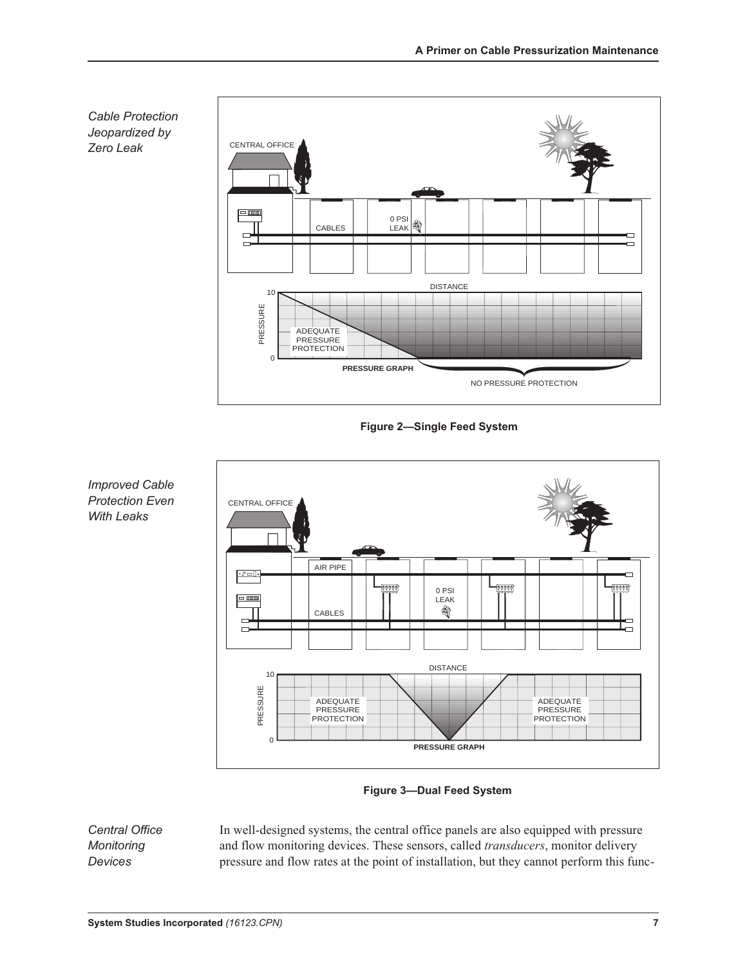

Figure 2—Single Feed System



Figure 3—Dual Feed System

Central Office **Monitoring** Devices

In well-designed systems, the central office panels are also equipped with pressure and flow monitoring devices. These sensors, called *transducers*, monitor delivery pressure and flow rates at the point of installation, but they cannot perform this func-

Improved Cable Protection Even With Leaks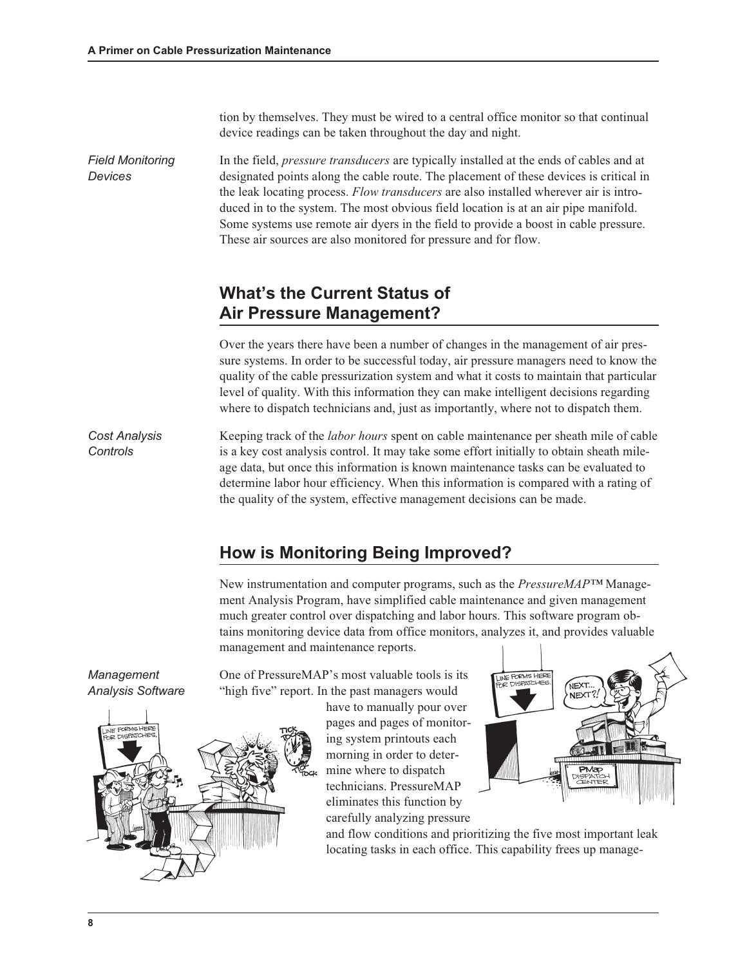tion by themselves. They must be wired to a central office monitor so that continual device readings can be taken throughout the day and night.

Field Monitoring Devices In the field, pressure transducers are typically installed at the ends of cables and at designated points along the cable route. The placement of these devices is critical in the leak locating process. Flow transducers are also installed wherever air is introduced in to the system. The most obvious field location is at an air pipe manifold. Some systems use remote air dyers in the field to provide a boost in cable pressure. These air sources are also monitored for pressure and for flow.

### What's the Current Status of Air Pressure Management?

Over the years there have been a number of changes in the management of air pressure systems. In order to be successful today, air pressure managers need to know the quality of the cable pressurization system and what it costs to maintain that particular level of quality. With this information they can make intelligent decisions regarding where to dispatch technicians and, just as importantly, where not to dispatch them.

Cost Analysis **Controls** Keeping track of the labor hours spent on cable maintenance per sheath mile of cable is a key cost analysis control. It may take some effort initially to obtain sheath mileage data, but once this information is known maintenance tasks can be evaluated to determine labor hour efficiency. When this information is compared with a rating of the quality of the system, effective management decisions can be made.

### Howis Monitoring Being Improved?

New instrumentation and computer programs, such as the *PressureMAP™* Management Analysis Program, have simplified cable maintenance and given management much greater control over dispatching and labor hours. This software program obtains monitoring device data from office monitors, analyzes it, and provides valuable management and maintenance reports.

Management Analysis Software One of PressureMAP's most valuable tools is its "high five" report. In the past managers would

> have to manually pour over pages and pages of monitoring system printouts each morning in order to determine where to dispatch technicians. PressureMAP eliminates this function by carefully analyzing pressure



and flow conditions and prioritizing the five most important leak locating tasks in each office. This capability frees up manage-

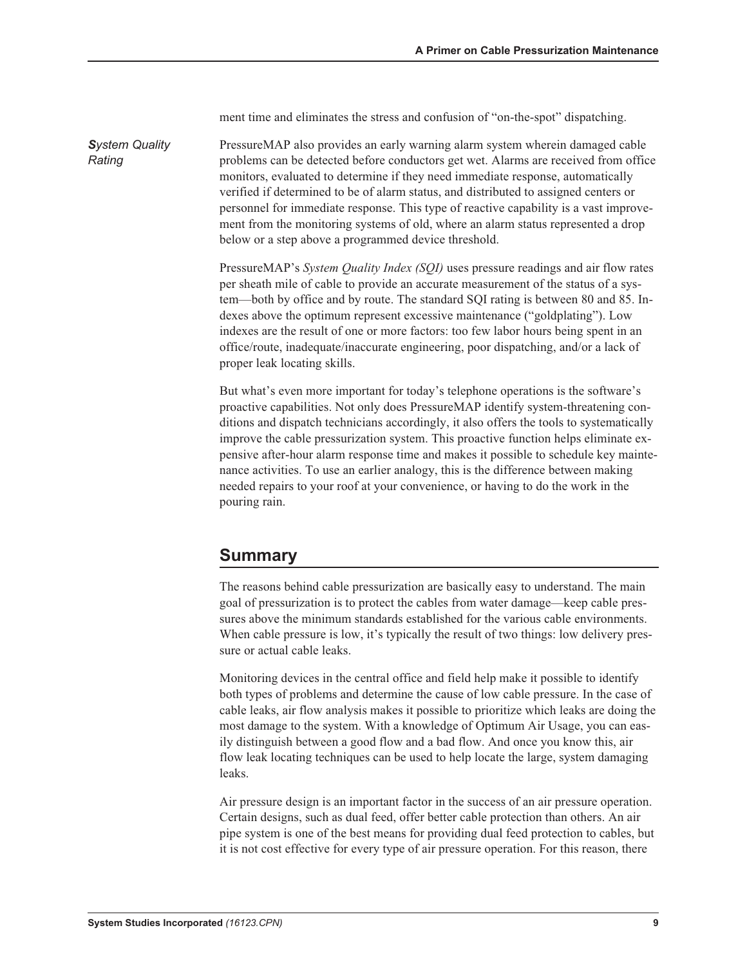ment time and eliminates the stress and confusion of "on-the-spot" dispatching.

**System Quality** PressureMAP also provides an early warning alarm system wherein damaged cable problems can be detected before conductors get wet. Alarms are received from office monitors, evaluated to determine if they need immediate response, automatically verified if determined to be of alarm status, and distributed to assigned centers or personnel for immediate response. This type of reactive capability is a vast improvement from the monitoring systems of old, where an alarm status represented a drop below or a step above a programmed device threshold.

> PressureMAP's System Quality Index (SQI) uses pressure readings and air flow rates per sheath mile of cable to provide an accurate measurement of the status of a system—both by office and by route. The standard SQIrating is between 80 and 85. Indexes above the optimum represent excessive maintenance ("goldplating"). Low indexes are the result of one or more factors: too few labor hours being spent in an office/route, inadequate/inaccurate engineering, poor dispatching, and/or a lack of proper leak locating skills.

> But what's even more important for today's telephone operations is the software's proactive capabilities. Not only does PressureMAP identify system-threatening conditions and dispatch technicians accordingly, it also offers the tools to systematically improve the cable pressurization system. This proactive function helps eliminate expensive after-hour alarm response time and makes it possible to schedule key maintenance activities. To use an earlier analogy, this is the difference between making needed repairs to your roof at your convenience, or having to do the work in the pouring rain.

#### Summary

Rating

The reasons behind cable pressurization are basically easy to understand. The main goal of pressurization is to protect the cables from water damage—keep cable pressures above the minimum standards established for the various cable environments. When cable pressure is low, it's typically the result of two things: low delivery pressure or actual cable leaks.

Monitoring devices in the central office and field help make it possible to identify both types of problems and determine the cause of low cable pressure. In the case of cable leaks, air flow analysis makes it possible to prioritize which leaks are doing the most damage to the system. With a knowledge of Optimum Air Usage, you can easily distinguish between a good flow and a bad flow. And once you know this, air flow leak locating techniques can be used to help locate the large, system damaging leaks.

Air pressure design is an important factor in the success of an air pressure operation. Certain designs, such as dual feed, offer better cable protection than others. An air pipe system is one of the best means for providing dual feed protection to cables, but it is not cost effective for every type of air pressure operation. For this reason, there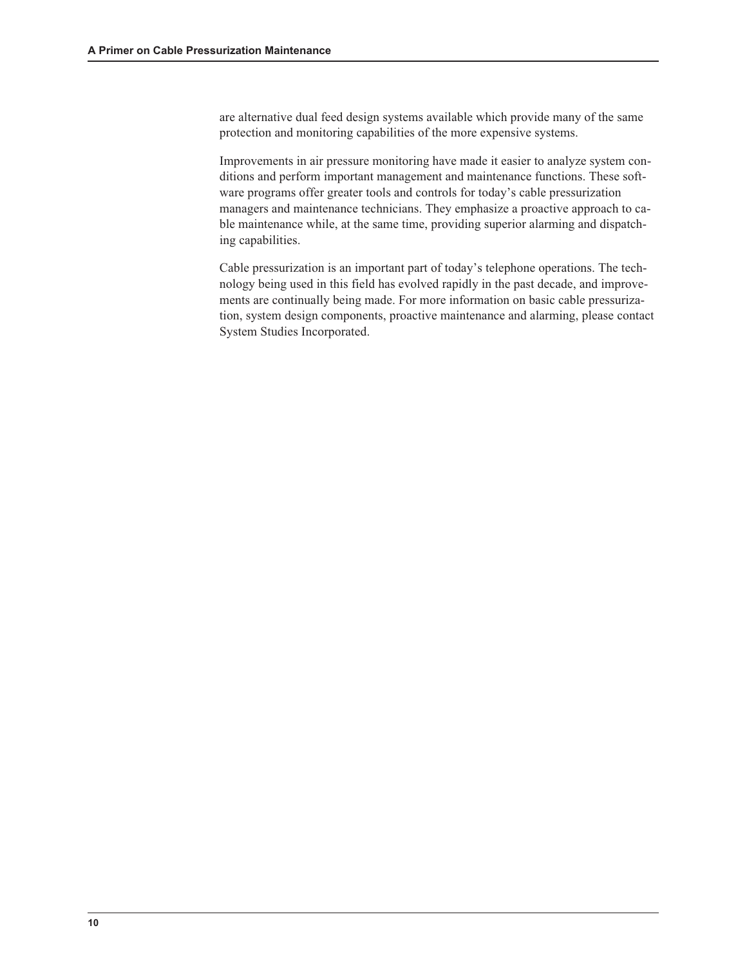are alternative dual feed design systems available which provide many of the same protection and monitoring capabilities of the more expensive systems.

Improvements in air pressure monitoring have made it easier to analyze system conditions and perform important management and maintenance functions. These software programs offer greater tools and controls for today's cable pressurization managers and maintenance technicians. They emphasize a proactive approach to cable maintenance while, at the same time, providing superior alarming and dispatching capabilities.

Cable pressurization is an important part of today's telephone operations. The technology being used in this field has evolved rapidly in the past decade, and improvements are continually being made. For more information on basic cable pressurization, system design components, proactive maintenance and alarming, please contact System Studies Incorporated.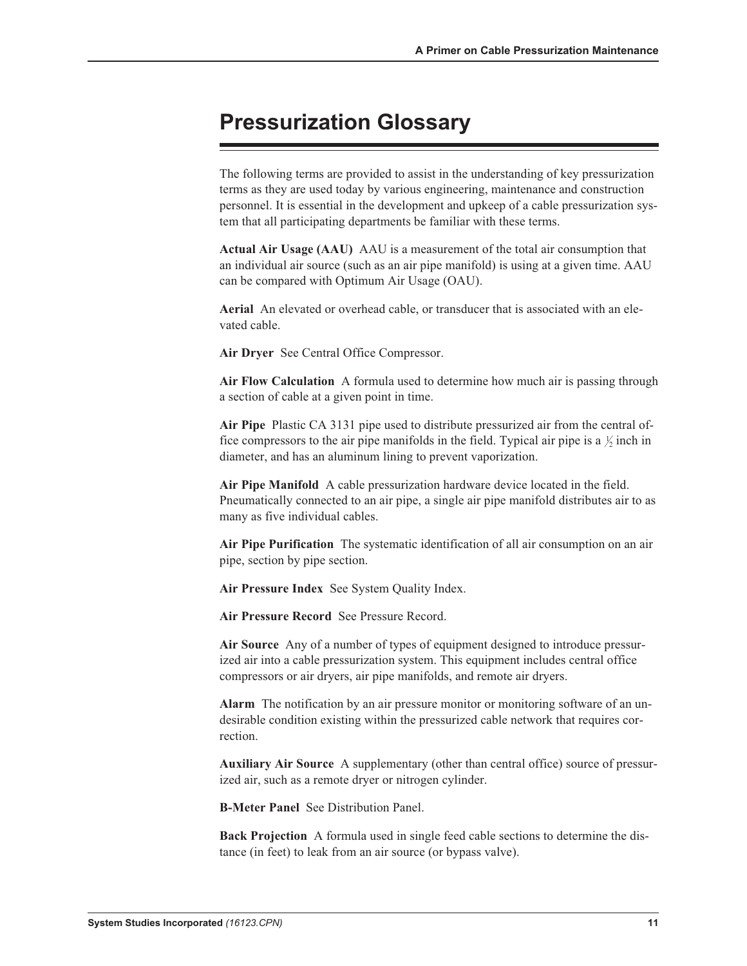## Pressurization Glossary

The following terms are provided to assist in the understanding of key pressurization terms as they are used today by various engineering, maintenance and construction personnel. It is essential in the development and upkeep of a cable pressurization system that all participating departments be familiar with these terms.

Actual Air Usage (AAU) AAU is a measurement of the total air consumption that an individual air source (such as an air pipe manifold) is using at a given time. AAU can be compared with Optimum Air Usage (OAU).

Aerial An elevated or overhead cable, or transducer that is associated with an elevated cable.

Air Dryer See Central Office Compressor.

Air Flow Calculation A formula used to determine how much air is passing through a section of cable at a given point in time.

Air Pipe Plastic CA 3131 pipe used to distribute pressurized air from the central office compressors to the air pipe manifolds in the field. Typical air pipe is a  $\frac{1}{2}$  inch in diameter, and has an aluminum lining to prevent vaporization.

Air Pipe Manifold A cable pressurization hardware device located in the field. Pneumatically connected to an air pipe, a single air pipe manifold distributes air to as many as five individual cables.

Air Pipe Purification The systematic identification of all air consumption on an air pipe, section by pipe section.

Air Pressure Index See System Quality Index.

Air Pressure Record See Pressure Record.

Air Source Any of a number of types of equipment designed to introduce pressurized air into a cable pressurization system. This equipment includes central office compressors or air dryers, air pipe manifolds, and remote air dryers.

Alarm The notification by an air pressure monitor or monitoring software of an undesirable condition existing within the pressurized cable network that requires correction.

Auxiliary Air Source A supplementary (other than central office) source of pressurized air, such as a remote dryer or nitrogen cylinder.

B-Meter Panel See Distribution Panel.

Back Projection A formula used in single feed cable sections to determine the distance (in feet) to leak from an air source (or bypass valve).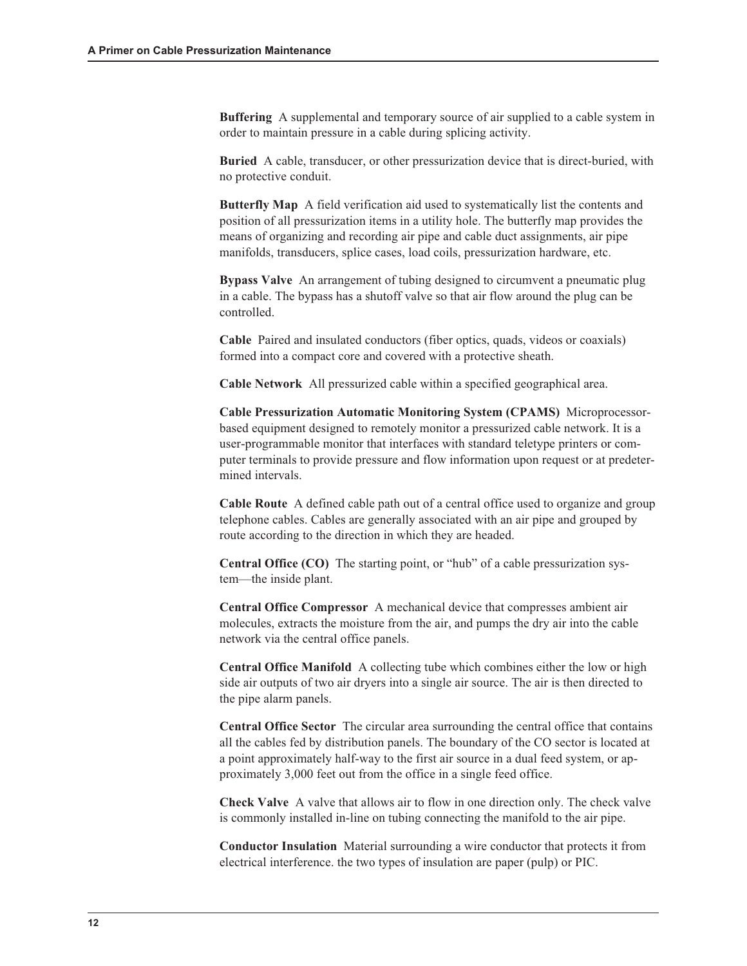Buffering A supplemental and temporary source of air supplied to a cable system in order to maintain pressure in a cable during splicing activity.

Buried A cable, transducer, or other pressurization device that is direct-buried, with no protective conduit.

Butterfly Map A field verification aid used to systematically list the contents and position of all pressurization items in a utility hole. The butterfly map provides the means of organizing and recording air pipe and cable duct assignments, air pipe manifolds, transducers, splice cases, load coils, pressurization hardware, etc.

Bypass Valve An arrangement of tubing designed to circumvent a pneumatic plug in a cable. The bypass has a shutoff valve so that air flow around the plug can be controlled.

Cable Paired and insulated conductors (fiber optics, quads, videos or coaxials) formed into a compact core and covered with a protective sheath.

Cable Network All pressurized cable within a specified geographical area.

Cable Pressurization Automatic Monitoring System (CPAMS) Microprocessorbased equipment designed to remotely monitor a pressurized cable network. It is a user-programmable monitor that interfaces with standard teletype printers or computer terminals to provide pressure and flow information upon request or at predetermined intervals.

Cable Route A defined cable path out of a central office used to organize and group telephone cables. Cables are generally associated with an air pipe and grouped by route according to the direction in which they are headed.

Central Office (CO) The starting point, or "hub" of a cable pressurization system—the inside plant.

Central Office Compressor A mechanical device that compresses ambient air molecules, extracts the moisture from the air, and pumps the dry air into the cable network via the central office panels.

Central Office Manifold A collecting tube which combines either the low or high side air outputs of two air dryers into a single air source. The air is then directed to the pipe alarm panels.

Central Office Sector The circular area surrounding the central office that contains all the cables fed by distribution panels. The boundary of the CO sector is located at a point approximately half-way to the first air source in a dual feed system, or approximately 3,000 feet out from the office in a single feed office.

Check Valve A valve that allows air to flow in one direction only. The check valve is commonly installed in-line on tubing connecting the manifold to the air pipe.

Conductor Insulation Material surrounding a wire conductor that protects it from electrical interference. the two types of insulation are paper (pulp) or PIC.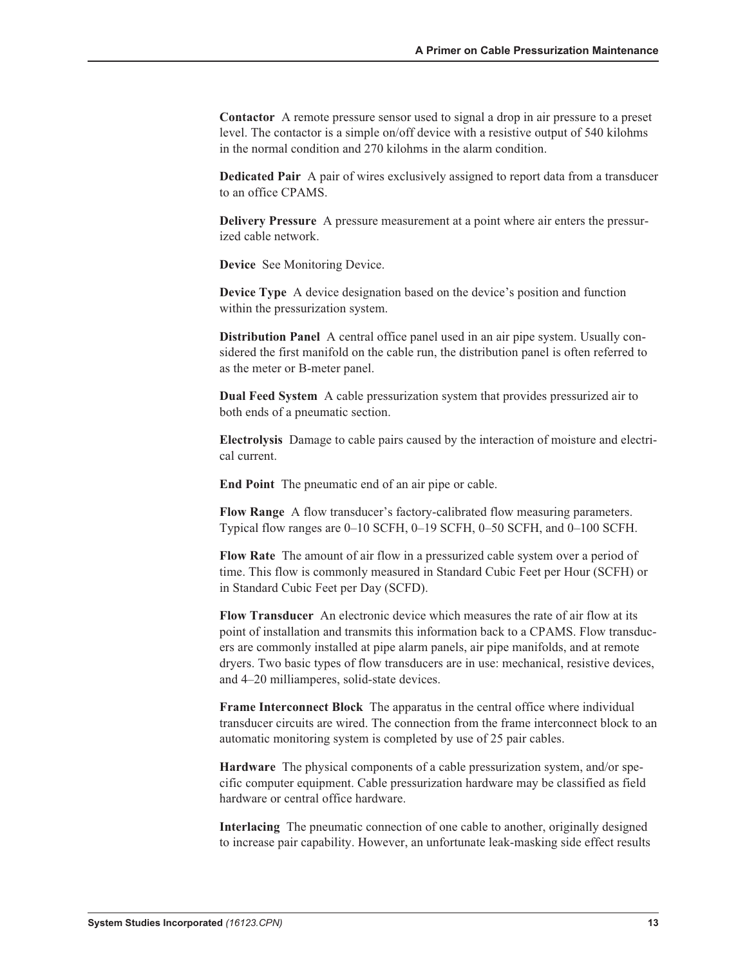Contactor A remote pressure sensor used to signal a drop in air pressure to a preset level. The contactor is a simple on/off device with a resistive output of 540 kilohms in the normal condition and 270 kilohms in the alarm condition.

Dedicated Pair A pair of wires exclusively assigned to report data from a transducer to an office CPAMS.

Delivery Pressure A pressure measurement at a point where air enters the pressurized cable network.

Device See Monitoring Device.

Device Type A device designation based on the device's position and function within the pressurization system.

Distribution Panel A central office panel used in an air pipe system. Usually considered the first manifold on the cable run, the distribution panel is often referred to as the meter or B-meter panel.

Dual Feed System A cable pressurization system that provides pressurized air to both ends of a pneumatic section.

Electrolysis Damage to cable pairs caused by the interaction of moisture and electrical current.

End Point The pneumatic end of an air pipe or cable.

Flow Range A flow transducer's factory-calibrated flow measuring parameters. Typical flow ranges are 0–10 SCFH, 0–19 SCFH, 0–50 SCFH, and 0–100 SCFH.

Flow Rate The amount of air flow in a pressurized cable system over a period of time. This flow is commonly measured in Standard Cubic Feet per Hour (SCFH) or in Standard Cubic Feet per Day (SCFD).

Flow Transducer An electronic device which measures the rate of air flow at its point of installation and transmits this information back to a CPAMS. Flow transducers are commonly installed at pipe alarm panels, air pipe manifolds, and at remote dryers. Two basic types of flow transducers are in use: mechanical, resistive devices, and 4–20 milliamperes, solid-state devices.

Frame Interconnect Block The apparatus in the central office where individual transducer circuits are wired. The connection from the frame interconnect block to an automatic monitoring system is completed by use of 25 pair cables.

Hardware The physical components of a cable pressurization system, and/or specific computer equipment. Cable pressurization hardware may be classified as field hardware or central office hardware.

Interlacing The pneumatic connection of one cable to another, originally designed to increase pair capability. However, an unfortunate leak-masking side effect results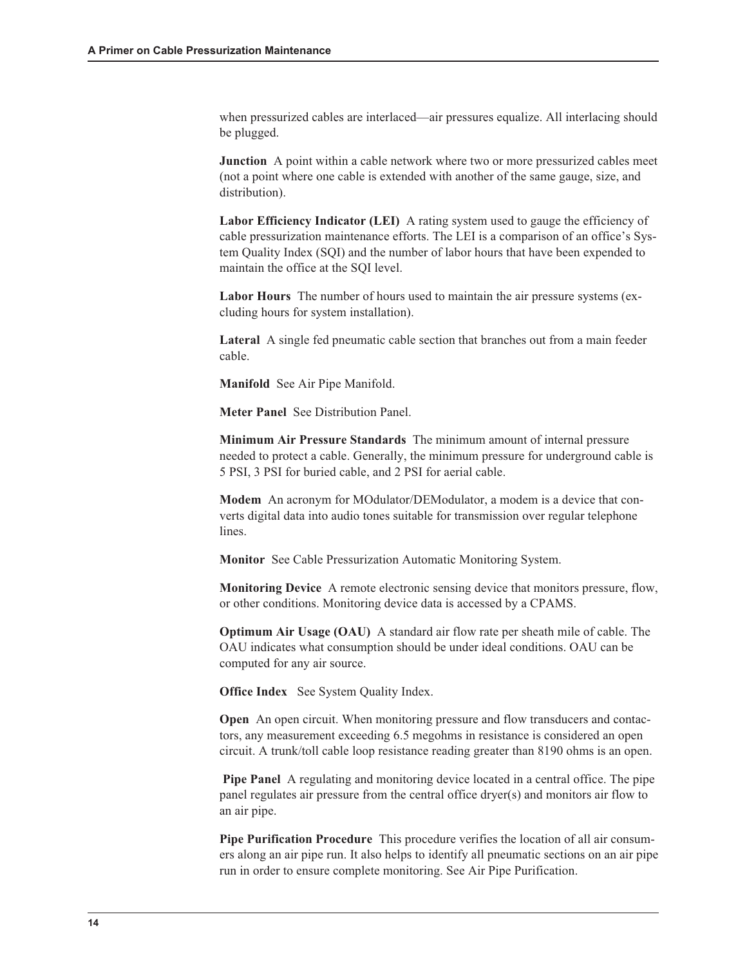when pressurized cables are interlaced—air pressures equalize. All interlacing should be plugged.

Junction A point within a cable network where two or more pressurized cables meet (not a point where one cable is extended with another of the same gauge, size, and distribution).

Labor Efficiency Indicator (LEI) A rating system used to gauge the efficiency of cable pressurization maintenance efforts. The LEI is a comparison of an office's System Quality Index (SQI) and the number of labor hours that have been expended to maintain the office at the SOI level.

Labor Hours The number of hours used to maintain the air pressure systems (excluding hours for system installation).

Lateral A single fed pneumatic cable section that branches out from a main feeder cable.

Manifold See Air Pipe Manifold.

Meter Panel See Distribution Panel.

Minimum Air Pressure Standards The minimum amount of internal pressure needed to protect a cable. Generally, the minimum pressure for underground cable is 5 PSI, 3 PSI for buried cable, and 2 PSI for aerial cable.

Modem An acronym for MOdulator/DEModulator, a modem is a device that converts digital data into audio tones suitable for transmission over regular telephone lines.

Monitor See Cable Pressurization Automatic Monitoring System.

Monitoring Device A remote electronic sensing device that monitors pressure, flow, or other conditions. Monitoring device data is accessed by a CPAMS.

Optimum Air Usage (OAU) A standard air flow rate per sheath mile of cable. The OAU indicates what consumption should be under ideal conditions. OAU can be computed for any air source.

Office Index See System Quality Index.

Open An open circuit. When monitoring pressure and flow transducers and contactors, any measurement exceeding 6.5 megohms in resistance is considered an open circuit. A trunk/toll cable loop resistance reading greater than 8190 ohms is an open.

Pipe Panel A regulating and monitoring device located in a central office. The pipe panel regulates air pressure from the central office dryer(s) and monitors air flow to an air pipe.

Pipe Purification Procedure This procedure verifies the location of all air consumers along an air pipe run. It also helps to identify all pneumatic sections on an air pipe run in order to ensure complete monitoring. See Air Pipe Purification.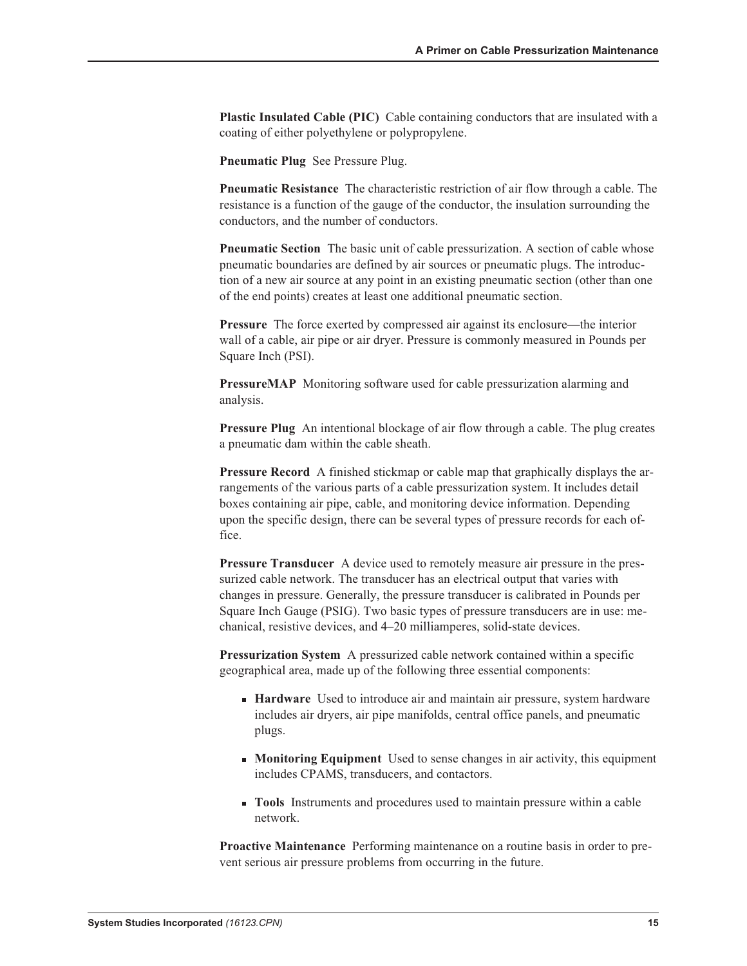Plastic Insulated Cable (PIC) Cable containing conductors that are insulated with a coating of either polyethylene or polypropylene.

Pneumatic Plug See Pressure Plug.

Pneumatic Resistance The characteristic restriction of air flow through a cable. The resistance is a function of the gauge of the conductor, the insulation surrounding the conductors, and the number of conductors.

Pneumatic Section The basic unit of cable pressurization. A section of cable whose pneumatic boundaries are defined by air sources or pneumatic plugs. The introduction of a new air source at any point in an existing pneumatic section (other than one of the end points) creates at least one additional pneumatic section.

Pressure The force exerted by compressed air against its enclosure—the interior wall of a cable, air pipe or air dryer. Pressure is commonly measured in Pounds per Square Inch (PSI).

PressureMAP Monitoring software used for cable pressurization alarming and analysis.

Pressure Plug An intentional blockage of air flow through a cable. The plug creates a pneumatic dam within the cable sheath.

Pressure Record A finished stickmap or cable map that graphically displays the arrangements of the various parts of a cable pressurization system. It includes detail boxes containing air pipe, cable, and monitoring device information. Depending upon the specific design, there can be several types of pressure records for each office.

Pressure Transducer A device used to remotely measure air pressure in the pressurized cable network. The transducer has an electrical output that varies with changes in pressure. Generally, the pressure transducer is calibrated in Pounds per Square Inch Gauge (PSIG). Two basic types of pressure transducers are in use: mechanical, resistive devices, and 4–20 milliamperes, solid-state devices.

Pressurization System A pressurized cable network contained within a specific geographical area, made up of the following three essential components:

- **Hardware** Used to introduce air and maintain air pressure, system hardware includes air dryers, air pipe manifolds, central office panels, and pneumatic plugs.
- **Monitoring Equipment** Used to sense changes in air activity, this equipment includes CPAMS, transducers, and contactors.
- **n** Tools Instruments and procedures used to maintain pressure within a cable network.

Proactive Maintenance Performing maintenance on a routine basis in order to prevent serious air pressure problems from occurring in the future.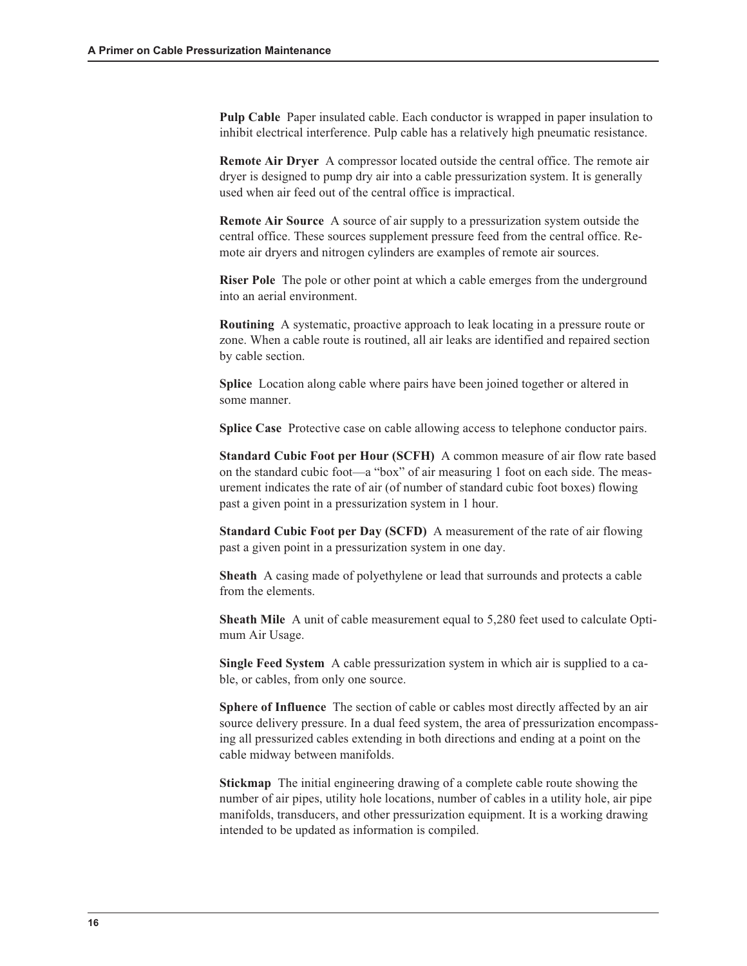Pulp Cable Paper insulated cable. Each conductor is wrapped in paper insulation to inhibit electrical interference. Pulp cable has a relatively high pneumatic resistance.

Remote Air Dryer A compressor located outside the central office. The remote air dryer is designed to pump dry air into a cable pressurization system. It is generally used when air feed out of the central office is impractical.

Remote Air Source A source of air supply to a pressurization system outside the central office. These sources supplement pressure feed from the central office. Remote air dryers and nitrogen cylinders are examples of remote air sources.

Riser Pole The pole or other point at which a cable emerges from the underground into an aerial environment.

Routining A systematic, proactive approach to leak locating in a pressure route or zone. When a cable route is routined, all air leaks are identified and repaired section by cable section.

Splice Location along cable where pairs have been joined together or altered in some manner.

Splice Case Protective case on cable allowing access to telephone conductor pairs.

Standard Cubic Foot per Hour (SCFH) A common measure of air flow rate based on the standard cubic foot—a "box" of air measuring 1 foot on each side. The measurement indicates the rate of air (of number of standard cubic foot boxes) flowing past a given point in a pressurization system in 1 hour.

Standard Cubic Foot per Day (SCFD) A measurement of the rate of air flowing past a given point in a pressurization system in one day.

Sheath A casing made of polyethylene or lead that surrounds and protects a cable from the elements.

Sheath Mile A unit of cable measurement equal to 5,280 feet used to calculate Optimum Air Usage.

Single Feed System A cable pressurization system in which air is supplied to a cable, or cables, from only one source.

Sphere of Influence The section of cable or cables most directly affected by an air source delivery pressure. In a dual feed system, the area of pressurization encompassing all pressurized cables extending in both directions and ending at a point on the cable midway between manifolds.

Stickmap The initial engineering drawing of a complete cable route showing the number of air pipes, utility hole locations, number of cables in a utility hole, air pipe manifolds, transducers, and other pressurization equipment. It is a working drawing intended to be updated as information is compiled.